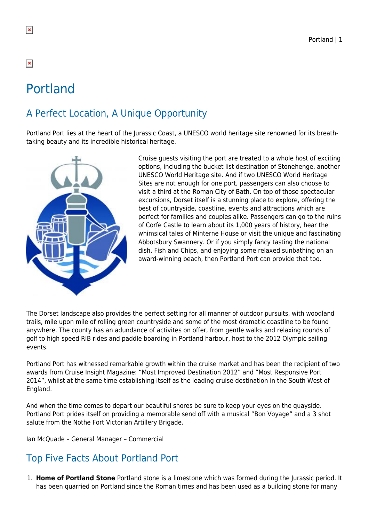# Portland

# A Perfect Location, A Unique Opportunity

Portland Port lies at the heart of the Jurassic Coast, a UNESCO world heritage site renowned for its breathtaking beauty and its incredible historical heritage.



Cruise guests visiting the port are treated to a whole host of exciting options, including the bucket list destination of Stonehenge, another UNESCO World Heritage site. And if two UNESCO World Heritage Sites are not enough for one port, passengers can also choose to visit a third at the Roman City of Bath. On top of those spectacular excursions, Dorset itself is a stunning place to explore, offering the best of countryside, coastline, events and attractions which are perfect for families and couples alike. Passengers can go to the ruins of Corfe Castle to learn about its 1,000 years of history, hear the whimsical tales of Minterne House or visit the unique and fascinating Abbotsbury Swannery. Or if you simply fancy tasting the national dish, Fish and Chips, and enjoying some relaxed sunbathing on an award-winning beach, then Portland Port can provide that too.

The Dorset landscape also provides the perfect setting for all manner of outdoor pursuits, with woodland trails, mile upon mile of rolling green countryside and some of the most dramatic coastline to be found anywhere. The county has an adundance of activites on offer, from gentle walks and relaxing rounds of golf to high speed RIB rides and paddle boarding in Portland harbour, host to the 2012 Olympic sailing events.

Portland Port has witnessed remarkable growth within the cruise market and has been the recipient of two awards from Cruise Insight Magazine: "Most Improved Destination 2012" and "Most Responsive Port 2014", whilst at the same time establishing itself as the leading cruise destination in the South West of England.

And when the time comes to depart our beautiful shores be sure to keep your eyes on the quayside. Portland Port prides itself on providing a memorable send off with a musical "Bon Voyage" and a 3 shot salute from the Nothe Fort Victorian Artillery Brigade.

Ian McQuade – General Manager – Commercial

# Top Five Facts About Portland Port

1. **Home of Portland Stone** Portland stone is a limestone which was formed during the Jurassic period. It has been quarried on Portland since the Roman times and has been used as a building stone for many

 $\pmb{\times}$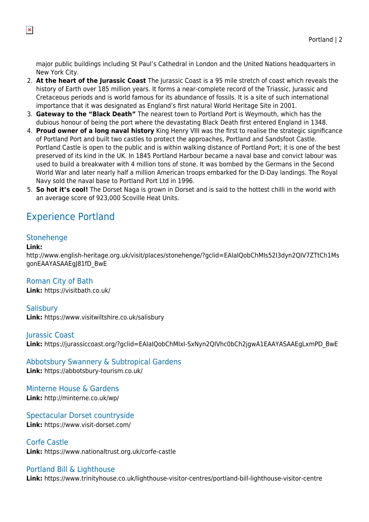major public buildings including St Paul's Cathedral in London and the United Nations headquarters in New York City.

- 2. **At the heart of the Jurassic Coast** The Jurassic Coast is a 95 mile stretch of coast which reveals the history of Earth over 185 million years. It forms a near-complete record of the Triassic, Jurassic and Cretaceous periods and is world famous for its abundance of fossils. It is a site of such international importance that it was designated as England's first natural World Heritage Site in 2001.
- 3. **Gateway to the "Black Death"** The nearest town to Portland Port is Weymouth, which has the dubious honour of being the port where the devastating Black Death first entered England in 1348.
- 4. **Proud owner of a long naval history** King Henry VIII was the first to realise the strategic significance of Portland Port and built two castles to protect the approaches, Portland and Sandsfoot Castle. Portland Castle is open to the public and is within walking distance of Portland Port; it is one of the best preserved of its kind in the UK. In 1845 Portland Harbour became a naval base and convict labour was used to build a breakwater with 4 million tons of stone. It was bombed by the Germans in the Second World War and later nearly half a million American troops embarked for the D-Day landings. The Royal Navy sold the naval base to Portland Port Ltd in 1996.
- 5. **So hot it's cool!** The Dorset Naga is grown in Dorset and is said to the hottest chilli in the world with an average score of 923,000 Scoville Heat Units.

# Experience Portland

#### Stonehenge

#### **Link:**

http://www.english-heritage.org.uk/visit/places/stonehenge/?gclid=EAIaIQobChMIs52I3dyn2QIV7ZTtCh1Ms gonEAAYASAAEgJ81fD\_BwE

#### Roman City of Bath

**Link:** https://visitbath.co.uk/

**Salisbury Link:** https://www.visitwiltshire.co.uk/salisbury

Jurassic Coast **Link:** https://jurassiccoast.org/?gclid=EAIaIQobChMIxI-SxNyn2QIVhc0bCh2jgwA1EAAYASAAEgLxmPD\_BwE

Abbotsbury Swannery & Subtropical Gardens **Link:** https://abbotsbury-tourism.co.uk/

Minterne House & Gardens **Link:** http://minterne.co.uk/wp/

Spectacular Dorset countryside **Link:** https://www.visit-dorset.com/

Corfe Castle **Link:** https://www.nationaltrust.org.uk/corfe-castle

#### Portland Bill & Lighthouse

**Link:** https://www.trinityhouse.co.uk/lighthouse-visitor-centres/portland-bill-lighthouse-visitor-centre

 $\pmb{\times}$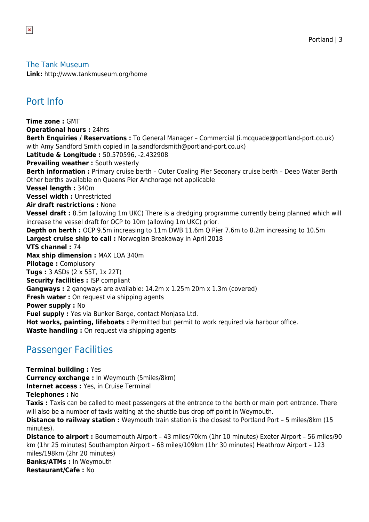#### The Tank Museum

**Link:** http://www.tankmuseum.org/home

### Port Info

**Time zone :** GMT **Operational hours :** 24hrs **Berth Enquiries / Reservations :** To General Manager – Commercial (i.mcquade@portland-port.co.uk) with Amy Sandford Smith copied in (a.sandfordsmith@portland-port.co.uk) **Latitude & Longitude :** 50.570596, -2.432908 **Prevailing weather: South westerly Berth information :** Primary cruise berth – Outer Coaling Pier Seconary cruise berth – Deep Water Berth Other berths available on Queens Pier Anchorage not applicable **Vessel length :** 340m **Vessel width :** Unrestricted **Air draft restrictions :** None **Vessel draft :** 8.5m (allowing 1m UKC) There is a dredging programme currently being planned which will increase the vessel draft for OCP to 10m (allowing 1m UKC) prior. **Depth on berth :** OCP 9.5m increasing to 11m DWB 11.6m Q Pier 7.6m to 8.2m increasing to 10.5m **Largest cruise ship to call :** Norwegian Breakaway in April 2018 **VTS channel :** 74 **Max ship dimension :** MAX LOA 340m **Pilotage :** Complusory **Tugs :** 3 ASDs (2 x 55T, 1x 22T) **Security facilities : ISP compliant Gangways :** 2 gangways are available: 14.2m x 1.25m 20m x 1.3m (covered) **Fresh water :** On request via shipping agents **Power supply :** No **Fuel supply :** Yes via Bunker Barge, contact Monjasa Ltd. Hot works, painting, lifeboats : Permitted but permit to work required via harbour office. **Waste handling :** On request via shipping agents

#### Passenger Facilities

**Terminal building :** Yes **Currency exchange :** In Weymouth (5miles/8km) **Internet access: Yes, in Cruise Terminal Telephones :** No **Taxis :** Taxis can be called to meet passengers at the entrance to the berth or main port entrance. There will also be a number of taxis waiting at the shuttle bus drop off point in Weymouth. **Distance to railway station :** Weymouth train station is the closest to Portland Port – 5 miles/8km (15 minutes). **Distance to airport :** Bournemouth Airport – 43 miles/70km (1hr 10 minutes) Exeter Airport – 56 miles/90 km (1hr 25 minutes) Southampton Airport – 68 miles/109km (1hr 30 minutes) Heathrow Airport – 123 miles/198km (2hr 20 minutes) **Banks/ATMs :** In Weymouth

**Restaurant/Cafe :** No

 $\pmb{\times}$